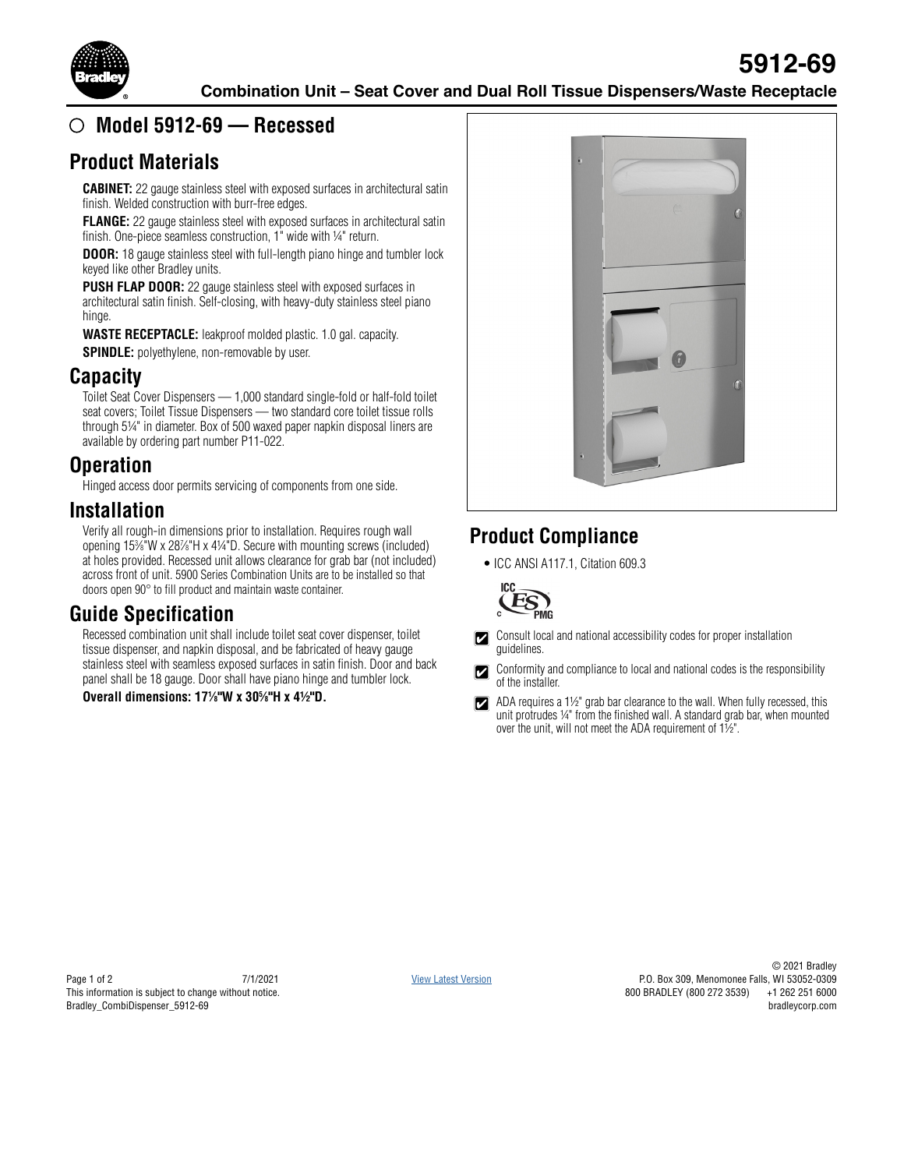

### **Model 5912-69 — Recessed**

#### **Product Materials**

**CABINET:** 22 gauge stainless steel with exposed surfaces in architectural satin finish. Welded construction with burr-free edges.

**FLANGE:** 22 gauge stainless steel with exposed surfaces in architectural satin finish. One-piece seamless construction, 1" wide with ¼" return.

**DOOR:** 18 gauge stainless steel with full-length piano hinge and tumbler lock keyed like other Bradley units.

**PUSH FLAP DOOR:** 22 gauge stainless steel with exposed surfaces in architectural satin finish. Self-closing, with heavy-duty stainless steel piano hinge.

**WASTE RECEPTACLE:** leakproof molded plastic. 1.0 gal. capacity. **SPINDLE:** polyethylene, non-removable by user.

### **Capacity**

Toilet Seat Cover Dispensers — 1,000 standard single-fold or half-fold toilet seat covers; Toilet Tissue Dispensers — two standard core toilet tissue rolls through 5¼" in diameter. Box of 500 waxed paper napkin disposal liners are available by ordering part number P11-022.

#### **Operation**

Hinged access door permits servicing of components from one side.

#### **Installation**

Verify all rough-in dimensions prior to installation. Requires rough wall opening 153 ⁄8"W x 287 ⁄8"H x 4¼"D. Secure with mounting screws (included) at holes provided. Recessed unit allows clearance for grab bar (not included) across front of unit. 5900 Series Combination Units are to be installed so that doors open 90° to fill product and maintain waste container.

## **Guide Specification**

Recessed combination unit shall include toilet seat cover dispenser, toilet tissue dispenser, and napkin disposal, and be fabricated of heavy gauge stainless steel with seamless exposed surfaces in satin finish. Door and back panel shall be 18 gauge. Door shall have piano hinge and tumbler lock.

**Overall dimensions: 171 ⁄8"W x 305 ⁄8"H x 4½"D.**



# **Product Compliance**

• ICC ANSI A117.1, Citation 609.3



Consult local and national accessibility codes for proper installation  $|\boldsymbol{z}|$ guidelines.

Conformity and compliance to local and national codes is the responsibility  $\boldsymbol{\mathbb{Z}}$ of the installer.

ADA requires a 1½" grab bar clearance to the wall. When fully recessed, this  $|\bm{\triangledown}|$ unit protrudes 1/4" from the finished wall. A standard grab bar, when mounted over the unit, will not meet the ADA requirement of  $1\frac{1}{2}$ ".

Page 1 of 2 7/1/2021 This information is subject to change without notice. Bradley\_CombiDispenser\_5912-69

[View Latest Version](https://www.bradleycorp.com/mediamanager/view/8273/5912-69_Combination_Unit_-_Reverse_Door.pdf)

© 2021 Bradley P.O. Box 309, Menomonee Falls, WI 53052-0309 800 BRADLEY (800 272 3539) +1 262 251 6000 bradleycorp.com